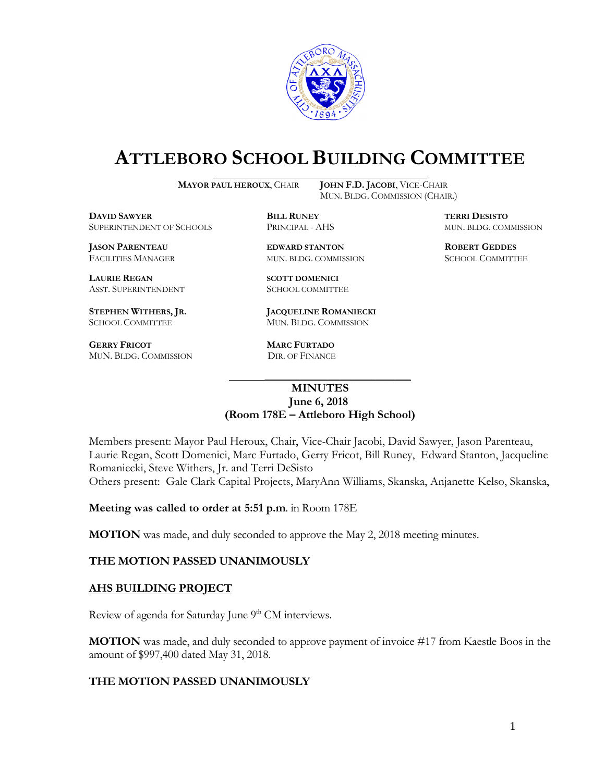

# **ATTLEBORO SCHOOL BUILDING COMMITTEE**

**MAYOR PAUL HEROUX**, CHAIR **JOHN F.D. JACOBI**, VICE-CHAIR

MUN. BLDG. COMMISSION (CHAIR.)

**DAVID SAWYER BILL RUNEY TERRI DESISTO** SUPERINTENDENT OF SCHOOLS PRINCIPAL - AHS MUN. BLDG. COMMISSION

**JASON PARENTEAU EDWARD STANTON ROBERT GEDDES** FACILITIES MANAGER MUN. BLDG. COMMISSION SCHOOL COMMITTEE

**LAURIE REGAN SCOTT DOMENICI** ASST. SUPERINTENDENT SCHOOL COMMITTEE

**GERRY FRICOT MARC FURTADO**  MUN. BLDG. COMMISSION DIR. OF FINANCE

**STEPHEN WITHERS, JR. JACQUELINE ROMANIECKI** SCHOOL COMMITTEE MUN. BLDG. COMMISSION

\_\_\_\_\_\_\_\_\_\_\_\_\_\_\_\_\_\_\_\_\_\_\_\_\_\_\_\_\_\_\_\_\_\_\_\_\_ **MINUTES June 6, 2018**

## **(Room 178E – Attleboro High School)**

Members present: Mayor Paul Heroux, Chair, Vice-Chair Jacobi, David Sawyer, Jason Parenteau, Laurie Regan, Scott Domenici, Marc Furtado, Gerry Fricot, Bill Runey, Edward Stanton, Jacqueline Romaniecki, Steve Withers, Jr. and Terri DeSisto Others present: Gale Clark Capital Projects, MaryAnn Williams, Skanska, Anjanette Kelso, Skanska,

**Meeting was called to order at 5:51 p.m**. in Room 178E

**MOTION** was made, and duly seconded to approve the May 2, 2018 meeting minutes.

### **THE MOTION PASSED UNANIMOUSLY**

### **AHS BUILDING PROJECT**

Review of agenda for Saturday June 9<sup>th</sup> CM interviews.

**MOTION** was made, and duly seconded to approve payment of invoice #17 from Kaestle Boos in the amount of \$997,400 dated May 31, 2018.

### **THE MOTION PASSED UNANIMOUSLY**